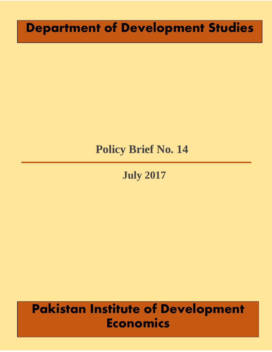# **Department of Development Studies**

# **Policy Brief No. 14**

**July 2017**

# **Pakistan Institute of Development Economics**